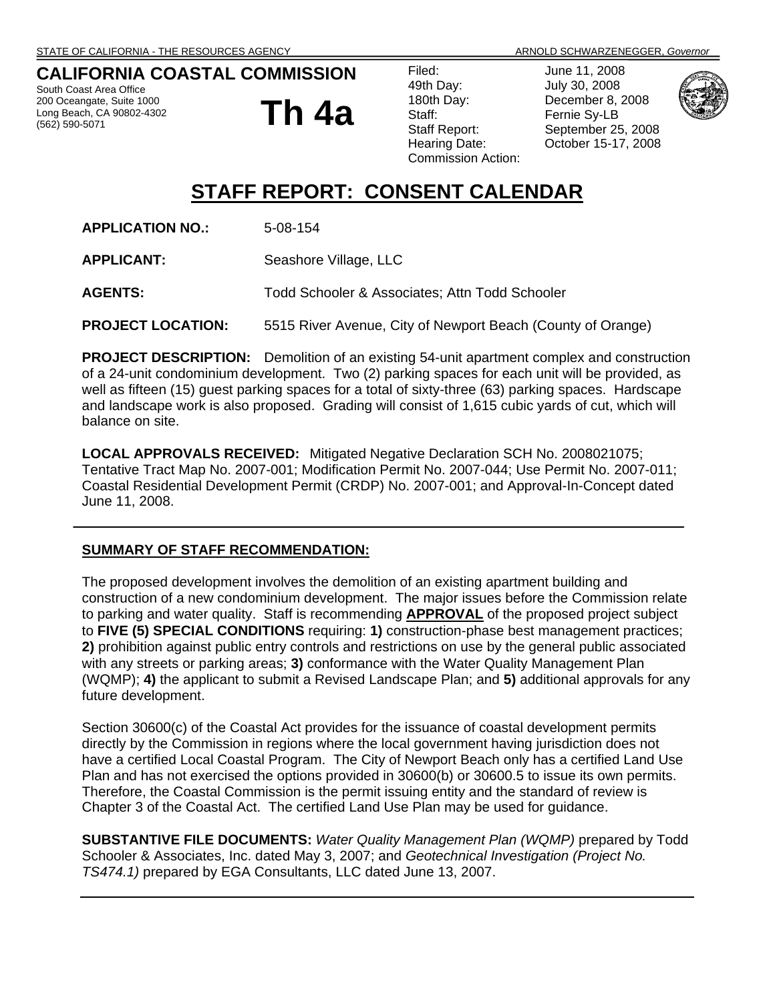### **CALIFORNIA COASTAL COMMISSION**

South Coast Area Office 200 Oceangate, Suite 1000 Long Beach, CA 90802-4302 (562) 590-5071

**Th 4a**

Filed: June 11, 2008 49th Day: July 30, 2008 180th Day: December 8, 2008 Staff: Fernie Sy-LB Commission Action:

Staff Report: September 25, 2008 Hearing Date: October 15-17, 2008



# **STAFF REPORT: CONSENT CALENDAR**

**APPLICATION NO.:** 5-08-154

**APPLICANT:** Seashore Village, LLC

**AGENTS:** Todd Schooler & Associates; Attn Todd Schooler

**PROJECT LOCATION:** 5515 River Avenue, City of Newport Beach (County of Orange)

**PROJECT DESCRIPTION:** Demolition of an existing 54-unit apartment complex and construction of a 24-unit condominium development. Two (2) parking spaces for each unit will be provided, as well as fifteen (15) guest parking spaces for a total of sixty-three (63) parking spaces. Hardscape and landscape work is also proposed. Grading will consist of 1,615 cubic yards of cut, which will balance on site.

**LOCAL APPROVALS RECEIVED:** Mitigated Negative Declaration SCH No. 2008021075; Tentative Tract Map No. 2007-001; Modification Permit No. 2007-044; Use Permit No. 2007-011; Coastal Residential Development Permit (CRDP) No. 2007-001; and Approval-In-Concept dated June 11, 2008.

#### **SUMMARY OF STAFF RECOMMENDATION:**

The proposed development involves the demolition of an existing apartment building and construction of a new condominium development. The major issues before the Commission relate to parking and water quality. Staff is recommending **APPROVAL** of the proposed project subject to **FIVE (5) SPECIAL CONDITIONS** requiring: **1)** construction-phase best management practices; **2)** prohibition against public entry controls and restrictions on use by the general public associated with any streets or parking areas; **3)** conformance with the Water Quality Management Plan (WQMP); **4)** the applicant to submit a Revised Landscape Plan; and **5)** additional approvals for any future development.

Section 30600(c) of the Coastal Act provides for the issuance of coastal development permits directly by the Commission in regions where the local government having jurisdiction does not have a certified Local Coastal Program. The City of Newport Beach only has a certified Land Use Plan and has not exercised the options provided in 30600(b) or 30600.5 to issue its own permits. Therefore, the Coastal Commission is the permit issuing entity and the standard of review is Chapter 3 of the Coastal Act. The certified Land Use Plan may be used for guidance.

**SUBSTANTIVE FILE DOCUMENTS:** *Water Quality Management Plan (WQMP)* prepared by Todd Schooler & Associates, Inc. dated May 3, 2007; and *Geotechnical Investigation (Project No. TS474.1)* prepared by EGA Consultants, LLC dated June 13, 2007.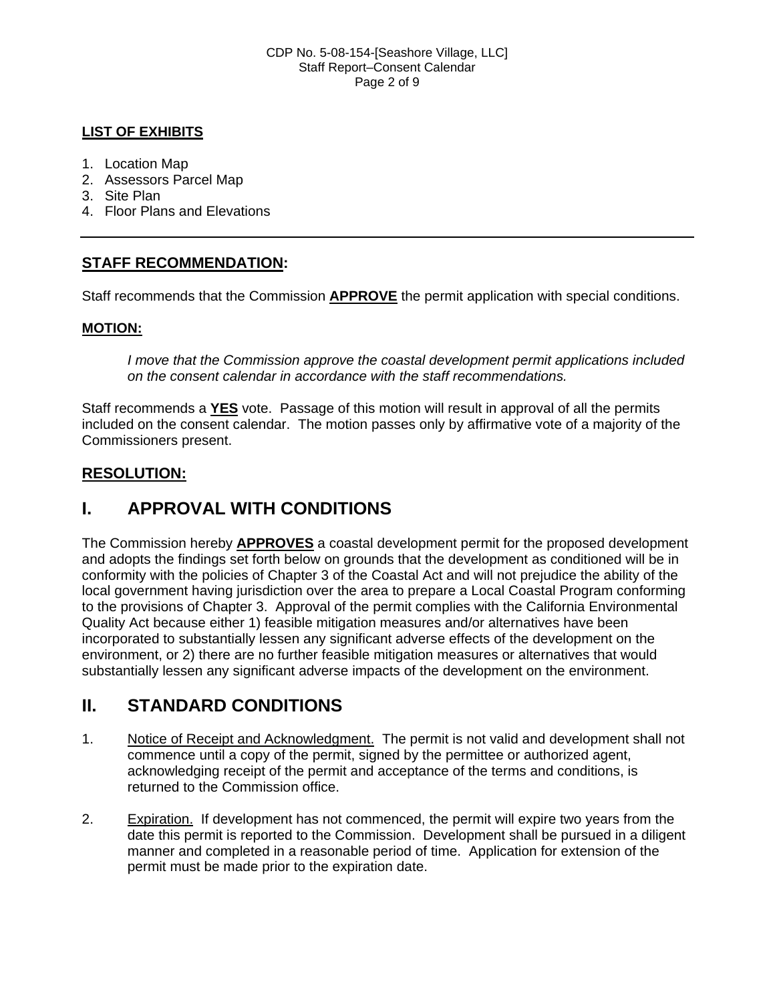### **LIST OF EXHIBITS**

- 1. Location Map
- 2. Assessors Parcel Map
- 3. Site Plan
- 4. Floor Plans and Elevations

## **STAFF RECOMMENDATION:**

Staff recommends that the Commission **APPROVE** the permit application with special conditions.

### **MOTION:**

*I move that the Commission approve the coastal development permit applications included on the consent calendar in accordance with the staff recommendations.*

Staff recommends a **YES** vote. Passage of this motion will result in approval of all the permits included on the consent calendar. The motion passes only by affirmative vote of a majority of the Commissioners present.

### **RESOLUTION:**

# **I. APPROVAL WITH CONDITIONS**

The Commission hereby **APPROVES** a coastal development permit for the proposed development and adopts the findings set forth below on grounds that the development as conditioned will be in conformity with the policies of Chapter 3 of the Coastal Act and will not prejudice the ability of the local government having jurisdiction over the area to prepare a Local Coastal Program conforming to the provisions of Chapter 3. Approval of the permit complies with the California Environmental Quality Act because either 1) feasible mitigation measures and/or alternatives have been incorporated to substantially lessen any significant adverse effects of the development on the environment, or 2) there are no further feasible mitigation measures or alternatives that would substantially lessen any significant adverse impacts of the development on the environment.

# **II. STANDARD CONDITIONS**

- 1. Notice of Receipt and Acknowledgment. The permit is not valid and development shall not commence until a copy of the permit, signed by the permittee or authorized agent, acknowledging receipt of the permit and acceptance of the terms and conditions, is returned to the Commission office.
- 2. Expiration. If development has not commenced, the permit will expire two years from the date this permit is reported to the Commission. Development shall be pursued in a diligent manner and completed in a reasonable period of time. Application for extension of the permit must be made prior to the expiration date.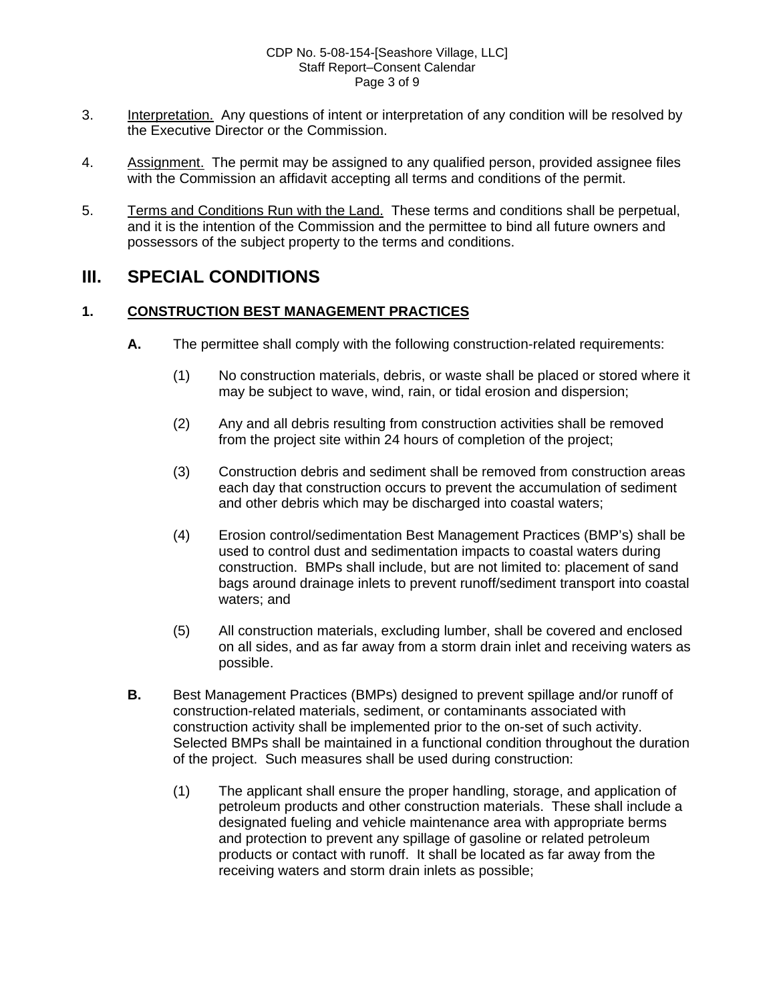#### CDP No. 5-08-154-[Seashore Village, LLC] Staff Report–Consent Calendar Page 3 of 9

- 3. Interpretation. Any questions of intent or interpretation of any condition will be resolved by the Executive Director or the Commission.
- 4. Assignment. The permit may be assigned to any qualified person, provided assignee files with the Commission an affidavit accepting all terms and conditions of the permit.
- 5. Terms and Conditions Run with the Land. These terms and conditions shall be perpetual, and it is the intention of the Commission and the permittee to bind all future owners and possessors of the subject property to the terms and conditions.

# **III. SPECIAL CONDITIONS**

### **1. CONSTRUCTION BEST MANAGEMENT PRACTICES**

- **A.** The permittee shall comply with the following construction-related requirements:
	- (1) No construction materials, debris, or waste shall be placed or stored where it may be subject to wave, wind, rain, or tidal erosion and dispersion;
	- (2) Any and all debris resulting from construction activities shall be removed from the project site within 24 hours of completion of the project;
	- (3) Construction debris and sediment shall be removed from construction areas each day that construction occurs to prevent the accumulation of sediment and other debris which may be discharged into coastal waters;
	- (4) Erosion control/sedimentation Best Management Practices (BMP's) shall be used to control dust and sedimentation impacts to coastal waters during construction. BMPs shall include, but are not limited to: placement of sand bags around drainage inlets to prevent runoff/sediment transport into coastal waters; and
	- (5) All construction materials, excluding lumber, shall be covered and enclosed on all sides, and as far away from a storm drain inlet and receiving waters as possible.
- **B.** Best Management Practices (BMPs) designed to prevent spillage and/or runoff of construction-related materials, sediment, or contaminants associated with construction activity shall be implemented prior to the on-set of such activity. Selected BMPs shall be maintained in a functional condition throughout the duration of the project. Such measures shall be used during construction:
	- (1) The applicant shall ensure the proper handling, storage, and application of petroleum products and other construction materials. These shall include a designated fueling and vehicle maintenance area with appropriate berms and protection to prevent any spillage of gasoline or related petroleum products or contact with runoff. It shall be located as far away from the receiving waters and storm drain inlets as possible;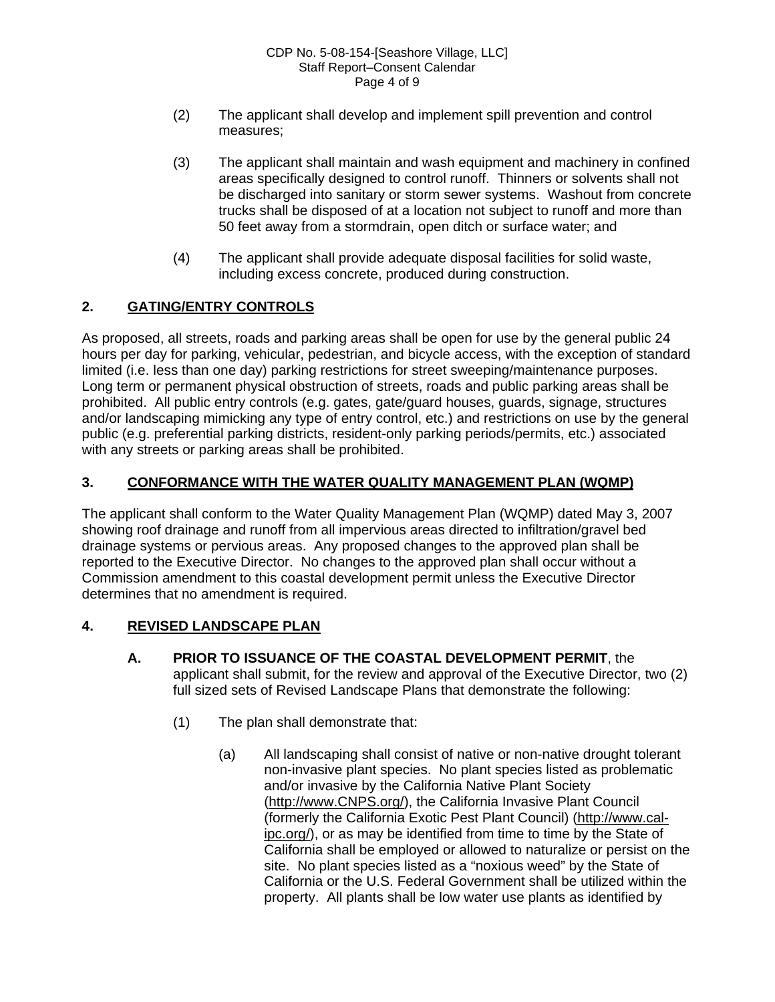- (2) The applicant shall develop and implement spill prevention and control measures;
- (3) The applicant shall maintain and wash equipment and machinery in confined areas specifically designed to control runoff. Thinners or solvents shall not be discharged into sanitary or storm sewer systems. Washout from concrete trucks shall be disposed of at a location not subject to runoff and more than 50 feet away from a stormdrain, open ditch or surface water; and
- (4) The applicant shall provide adequate disposal facilities for solid waste, including excess concrete, produced during construction.

### **2. GATING/ENTRY CONTROLS**

As proposed, all streets, roads and parking areas shall be open for use by the general public 24 hours per day for parking, vehicular, pedestrian, and bicycle access, with the exception of standard limited (i.e. less than one day) parking restrictions for street sweeping/maintenance purposes. Long term or permanent physical obstruction of streets, roads and public parking areas shall be prohibited. All public entry controls (e.g. gates, gate/guard houses, guards, signage, structures and/or landscaping mimicking any type of entry control, etc.) and restrictions on use by the general public (e.g. preferential parking districts, resident-only parking periods/permits, etc.) associated with any streets or parking areas shall be prohibited.

### **3. CONFORMANCE WITH THE WATER QUALITY MANAGEMENT PLAN (WQMP)**

The applicant shall conform to the Water Quality Management Plan (WQMP) dated May 3, 2007 showing roof drainage and runoff from all impervious areas directed to infiltration/gravel bed drainage systems or pervious areas. Any proposed changes to the approved plan shall be reported to the Executive Director. No changes to the approved plan shall occur without a Commission amendment to this coastal development permit unless the Executive Director determines that no amendment is required.

### **4. REVISED LANDSCAPE PLAN**

- **A. PRIOR TO ISSUANCE OF THE COASTAL DEVELOPMENT PERMIT**, the applicant shall submit, for the review and approval of the Executive Director, two (2) full sized sets of Revised Landscape Plans that demonstrate the following:
	- (1) The plan shall demonstrate that:
		- (a) All landscaping shall consist of native or non-native drought tolerant non-invasive plant species. No plant species listed as problematic and/or invasive by the California Native Plant Society [\(http://www.CNPS.org/](http://www.cnps.org/)), the California Invasive Plant Council (formerly the California Exotic Pest Plant Council) [\(http://www.cal](http://www.cal-ipc.org/)[ipc.org/\)](http://www.cal-ipc.org/), or as may be identified from time to time by the State of California shall be employed or allowed to naturalize or persist on the site. No plant species listed as a "noxious weed" by the State of California or the U.S. Federal Government shall be utilized within the property. All plants shall be low water use plants as identified by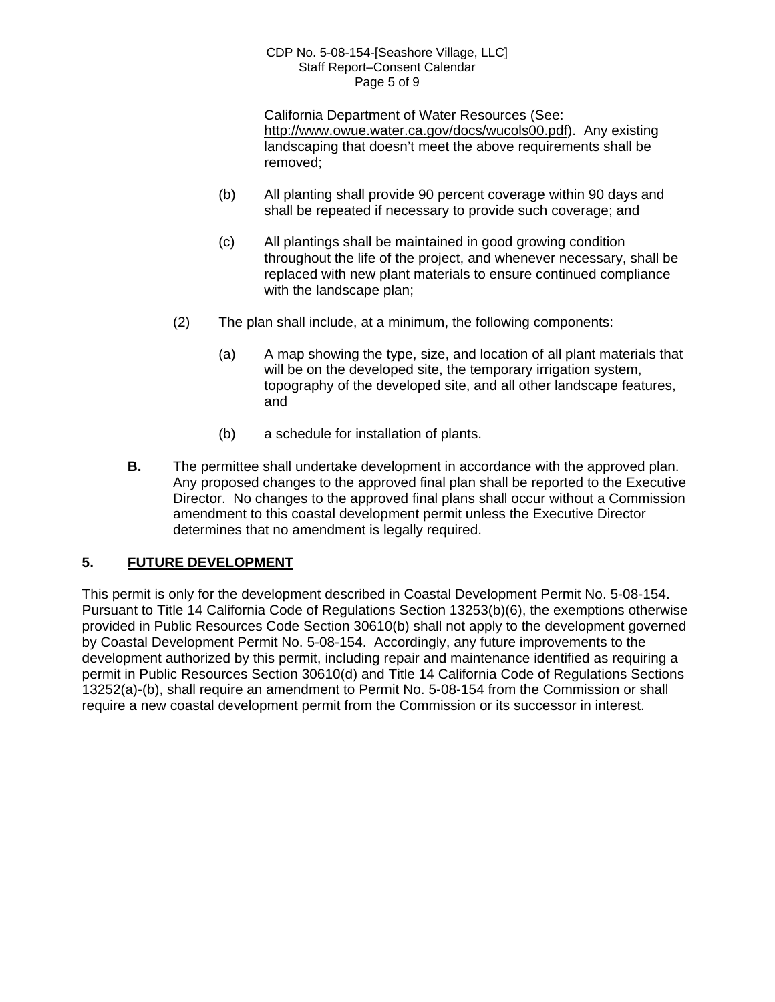#### CDP No. 5-08-154-[Seashore Village, LLC] Staff Report–Consent Calendar Page 5 of 9

California Department of Water Resources (See: <http://www.owue.water.ca.gov/docs/wucols00.pdf>). Any existing landscaping that doesn't meet the above requirements shall be removed;

- (b) All planting shall provide 90 percent coverage within 90 days and shall be repeated if necessary to provide such coverage; and
- (c) All plantings shall be maintained in good growing condition throughout the life of the project, and whenever necessary, shall be replaced with new plant materials to ensure continued compliance with the landscape plan;
- (2) The plan shall include, at a minimum, the following components:
	- (a) A map showing the type, size, and location of all plant materials that will be on the developed site, the temporary irrigation system, topography of the developed site, and all other landscape features, and
	- (b) a schedule for installation of plants.
- **B.** The permittee shall undertake development in accordance with the approved plan. Any proposed changes to the approved final plan shall be reported to the Executive Director. No changes to the approved final plans shall occur without a Commission amendment to this coastal development permit unless the Executive Director determines that no amendment is legally required.

### **5. FUTURE DEVELOPMENT**

This permit is only for the development described in Coastal Development Permit No. 5-08-154. Pursuant to Title 14 California Code of Regulations Section 13253(b)(6), the exemptions otherwise provided in Public Resources Code Section 30610(b) shall not apply to the development governed by Coastal Development Permit No. 5-08-154. Accordingly, any future improvements to the development authorized by this permit, including repair and maintenance identified as requiring a permit in Public Resources Section 30610(d) and Title 14 California Code of Regulations Sections 13252(a)-(b), shall require an amendment to Permit No. 5-08-154 from the Commission or shall require a new coastal development permit from the Commission or its successor in interest.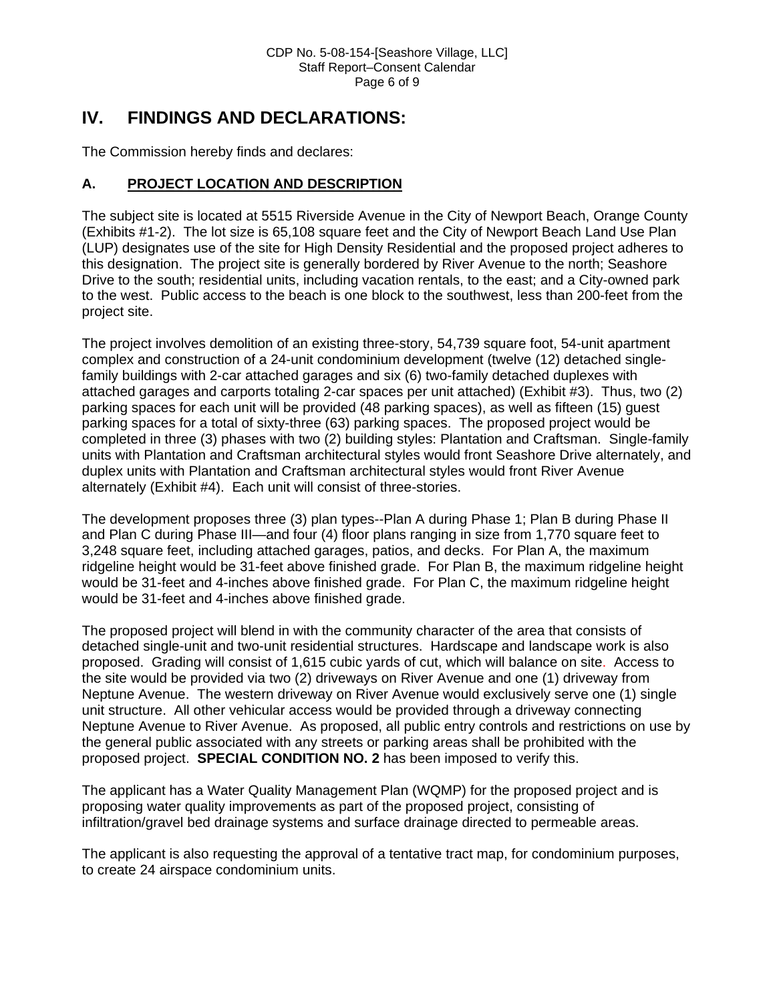# **IV. FINDINGS AND DECLARATIONS:**

The Commission hereby finds and declares:

### **A. PROJECT LOCATION AND DESCRIPTION**

The subject site is located at 5515 Riverside Avenue in the City of Newport Beach, Orange County (Exhibits #1-2). The lot size is 65,108 square feet and the City of Newport Beach Land Use Plan (LUP) designates use of the site for High Density Residential and the proposed project adheres to this designation. The project site is generally bordered by River Avenue to the north; Seashore Drive to the south; residential units, including vacation rentals, to the east; and a City-owned park to the west. Public access to the beach is one block to the southwest, less than 200-feet from the project site.

The project involves demolition of an existing three-story, 54,739 square foot, 54-unit apartment complex and construction of a 24-unit condominium development (twelve (12) detached singlefamily buildings with 2-car attached garages and six (6) two-family detached duplexes with attached garages and carports totaling 2-car spaces per unit attached) (Exhibit #3). Thus, two (2) parking spaces for each unit will be provided (48 parking spaces), as well as fifteen (15) guest parking spaces for a total of sixty-three (63) parking spaces. The proposed project would be completed in three (3) phases with two (2) building styles: Plantation and Craftsman. Single-family units with Plantation and Craftsman architectural styles would front Seashore Drive alternately, and duplex units with Plantation and Craftsman architectural styles would front River Avenue alternately (Exhibit #4). Each unit will consist of three-stories.

The development proposes three (3) plan types--Plan A during Phase 1; Plan B during Phase II and Plan C during Phase III—and four (4) floor plans ranging in size from 1,770 square feet to 3,248 square feet, including attached garages, patios, and decks. For Plan A, the maximum ridgeline height would be 31-feet above finished grade. For Plan B, the maximum ridgeline height would be 31-feet and 4-inches above finished grade. For Plan C, the maximum ridgeline height would be 31-feet and 4-inches above finished grade.

The proposed project will blend in with the community character of the area that consists of detached single-unit and two-unit residential structures. Hardscape and landscape work is also proposed. Grading will consist of 1,615 cubic yards of cut, which will balance on site. Access to the site would be provided via two (2) driveways on River Avenue and one (1) driveway from Neptune Avenue. The western driveway on River Avenue would exclusively serve one (1) single unit structure. All other vehicular access would be provided through a driveway connecting Neptune Avenue to River Avenue. As proposed, all public entry controls and restrictions on use by the general public associated with any streets or parking areas shall be prohibited with the proposed project. **SPECIAL CONDITION NO. 2** has been imposed to verify this.

The applicant has a Water Quality Management Plan (WQMP) for the proposed project and is proposing water quality improvements as part of the proposed project, consisting of infiltration/gravel bed drainage systems and surface drainage directed to permeable areas.

The applicant is also requesting the approval of a tentative tract map, for condominium purposes, to create 24 airspace condominium units.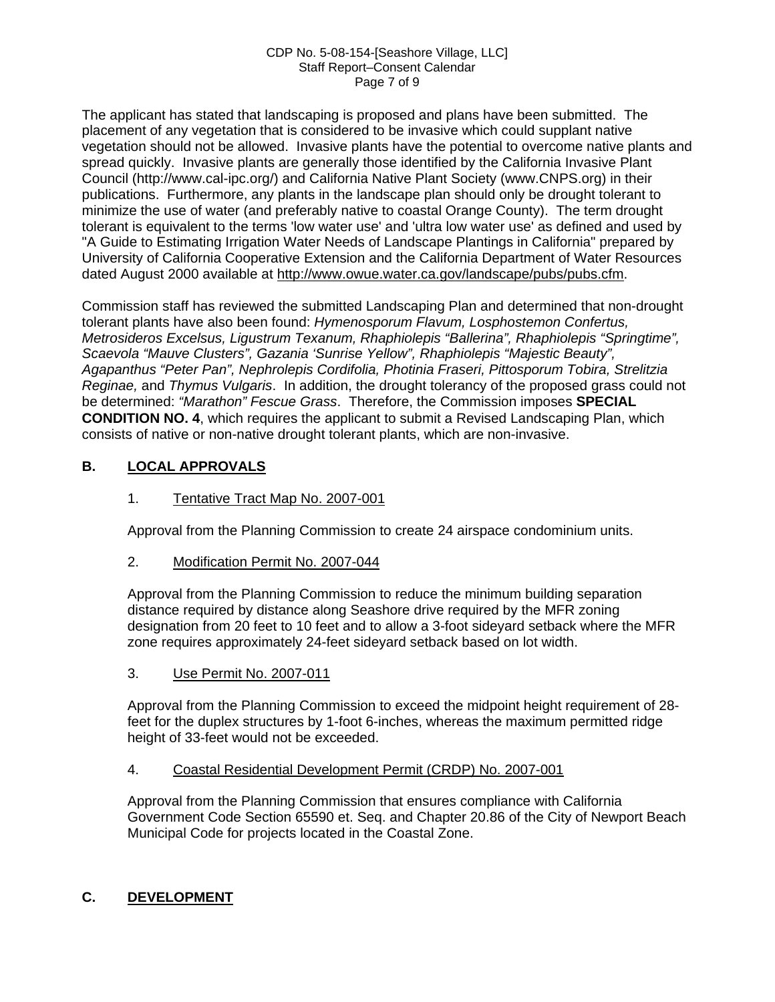#### CDP No. 5-08-154-[Seashore Village, LLC] Staff Report–Consent Calendar Page 7 of 9

The applicant has stated that landscaping is proposed and plans have been submitted. The placement of any vegetation that is considered to be invasive which could supplant native vegetation should not be allowed. Invasive plants have the potential to overcome native plants and spread quickly. Invasive plants are generally those identified by the California Invasive Plant Council (http://www.cal-ipc.org/) and California Native Plant Society (www.CNPS.org) in their publications. Furthermore, any plants in the landscape plan should only be drought tolerant to minimize the use of water (and preferably native to coastal Orange County). The term drought tolerant is equivalent to the terms 'low water use' and 'ultra low water use' as defined and used by "A Guide to Estimating Irrigation Water Needs of Landscape Plantings in California" prepared by University of California Cooperative Extension and the California Department of Water Resources dated August 2000 available at [http://www.owue.water.ca.gov/landscape/pubs/pubs.cfm.](http://www.owue.water.ca.gov/landscape/pubs/pubs.cfm)

Commission staff has reviewed the submitted Landscaping Plan and determined that non-drought tolerant plants have also been found: *Hymenosporum Flavum, Losphostemon Confertus, Metrosideros Excelsus, Ligustrum Texanum, Rhaphiolepis "Ballerina", Rhaphiolepis "Springtime", Scaevola "Mauve Clusters", Gazania 'Sunrise Yellow", Rhaphiolepis "Majestic Beauty", Agapanthus "Peter Pan", Nephrolepis Cordifolia, Photinia Fraseri, Pittosporum Tobira, Strelitzia Reginae,* and *Thymus Vulgaris*. In addition, the drought tolerancy of the proposed grass could not be determined: *"Marathon" Fescue Grass*. Therefore, the Commission imposes **SPECIAL CONDITION NO. 4**, which requires the applicant to submit a Revised Landscaping Plan, which consists of native or non-native drought tolerant plants, which are non-invasive.

### **B. LOCAL APPROVALS**

### 1. Tentative Tract Map No. 2007-001

Approval from the Planning Commission to create 24 airspace condominium units.

2. Modification Permit No. 2007-044

Approval from the Planning Commission to reduce the minimum building separation distance required by distance along Seashore drive required by the MFR zoning designation from 20 feet to 10 feet and to allow a 3-foot sideyard setback where the MFR zone requires approximately 24-feet sideyard setback based on lot width.

3. Use Permit No. 2007-011

Approval from the Planning Commission to exceed the midpoint height requirement of 28 feet for the duplex structures by 1-foot 6-inches, whereas the maximum permitted ridge height of 33-feet would not be exceeded.

### 4. Coastal Residential Development Permit (CRDP) No. 2007-001

Approval from the Planning Commission that ensures compliance with California Government Code Section 65590 et. Seq. and Chapter 20.86 of the City of Newport Beach Municipal Code for projects located in the Coastal Zone.

### **C. DEVELOPMENT**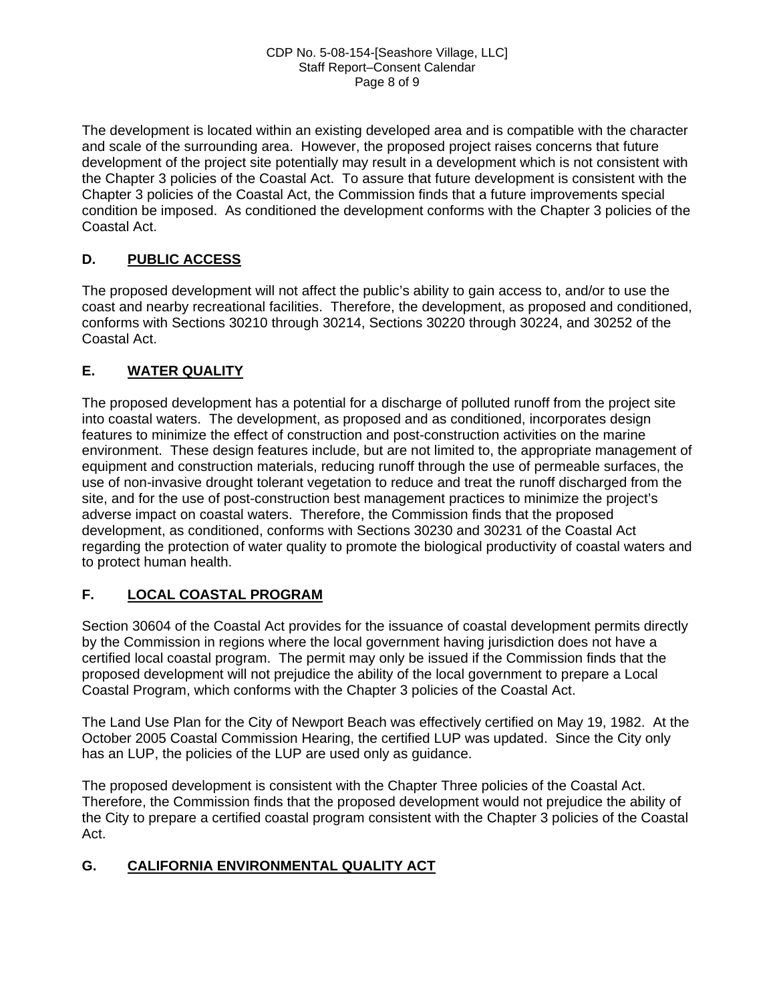The development is located within an existing developed area and is compatible with the character and scale of the surrounding area. However, the proposed project raises concerns that future development of the project site potentially may result in a development which is not consistent with the Chapter 3 policies of the Coastal Act. To assure that future development is consistent with the Chapter 3 policies of the Coastal Act, the Commission finds that a future improvements special condition be imposed. As conditioned the development conforms with the Chapter 3 policies of the Coastal Act.

### **D. PUBLIC ACCESS**

The proposed development will not affect the public's ability to gain access to, and/or to use the coast and nearby recreational facilities. Therefore, the development, as proposed and conditioned, conforms with Sections 30210 through 30214, Sections 30220 through 30224, and 30252 of the Coastal Act.

### **E. WATER QUALITY**

The proposed development has a potential for a discharge of polluted runoff from the project site into coastal waters. The development, as proposed and as conditioned, incorporates design features to minimize the effect of construction and post-construction activities on the marine environment. These design features include, but are not limited to, the appropriate management of equipment and construction materials, reducing runoff through the use of permeable surfaces, the use of non-invasive drought tolerant vegetation to reduce and treat the runoff discharged from the site, and for the use of post-construction best management practices to minimize the project's adverse impact on coastal waters. Therefore, the Commission finds that the proposed development, as conditioned, conforms with Sections 30230 and 30231 of the Coastal Act regarding the protection of water quality to promote the biological productivity of coastal waters and to protect human health.

### **F. LOCAL COASTAL PROGRAM**

Section 30604 of the Coastal Act provides for the issuance of coastal development permits directly by the Commission in regions where the local government having jurisdiction does not have a certified local coastal program. The permit may only be issued if the Commission finds that the proposed development will not prejudice the ability of the local government to prepare a Local Coastal Program, which conforms with the Chapter 3 policies of the Coastal Act.

The Land Use Plan for the City of Newport Beach was effectively certified on May 19, 1982. At the October 2005 Coastal Commission Hearing, the certified LUP was updated. Since the City only has an LUP, the policies of the LUP are used only as guidance.

The proposed development is consistent with the Chapter Three policies of the Coastal Act. Therefore, the Commission finds that the proposed development would not prejudice the ability of the City to prepare a certified coastal program consistent with the Chapter 3 policies of the Coastal Act.

### **G. CALIFORNIA ENVIRONMENTAL QUALITY ACT**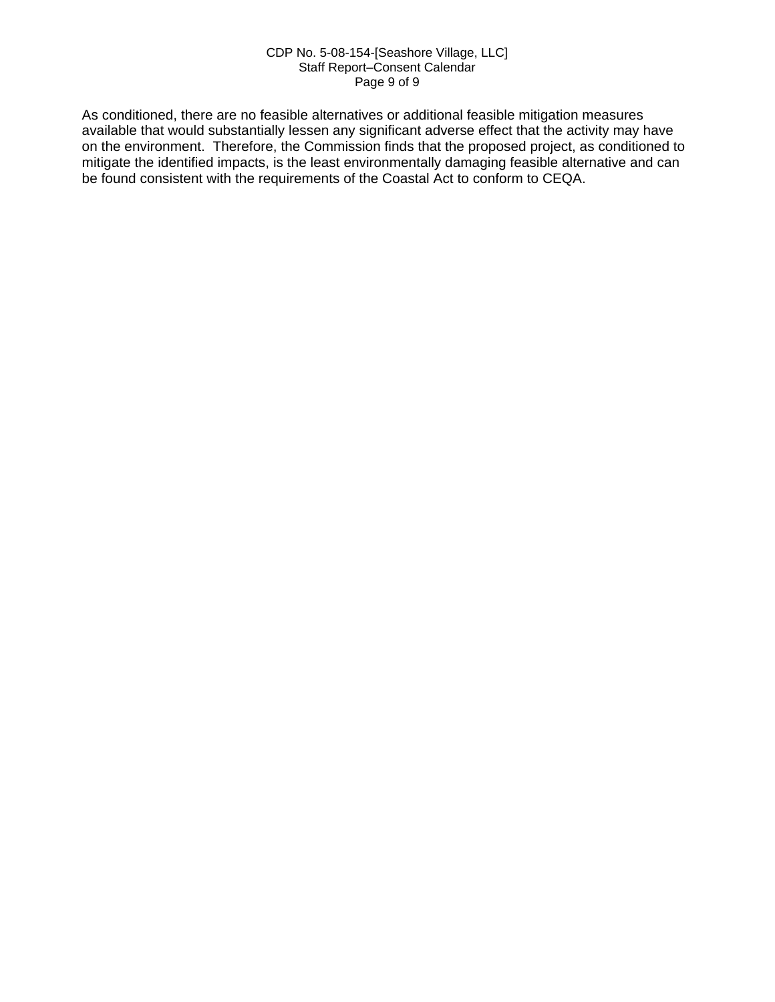#### CDP No. 5-08-154-[Seashore Village, LLC] Staff Report–Consent Calendar Page 9 of 9

As conditioned, there are no feasible alternatives or additional feasible mitigation measures available that would substantially lessen any significant adverse effect that the activity may have on the environment. Therefore, the Commission finds that the proposed project, as conditioned to mitigate the identified impacts, is the least environmentally damaging feasible alternative and can be found consistent with the requirements of the Coastal Act to conform to CEQA.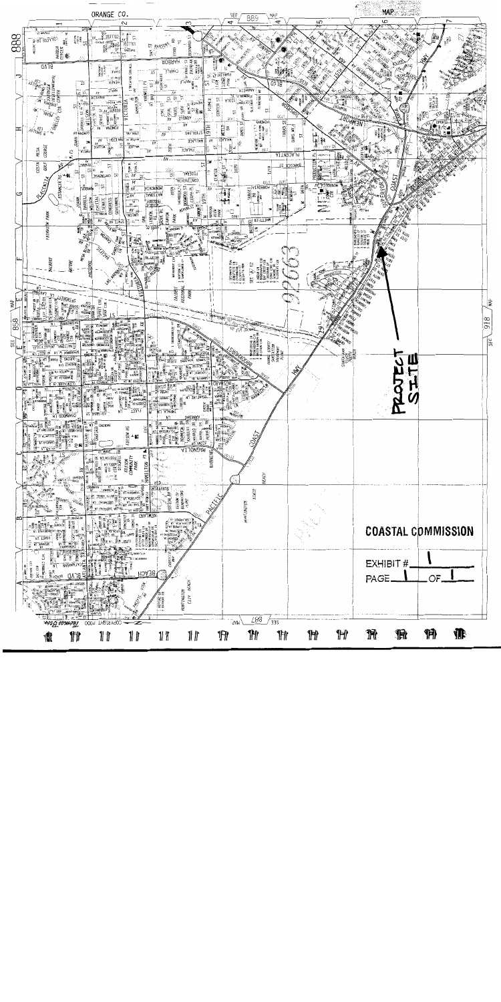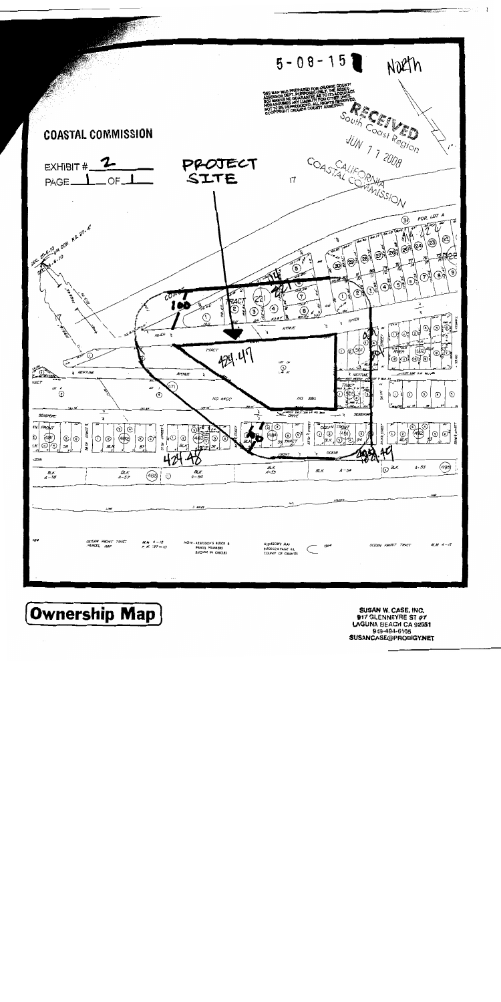

**Ownership Map** 

SUSAN W. CASE, INC. 917 GLENNEYRE ST #7 LAGUNA BEACH CA 92651 949-494-6105 **SUSANCASE@PRODIGY.NET**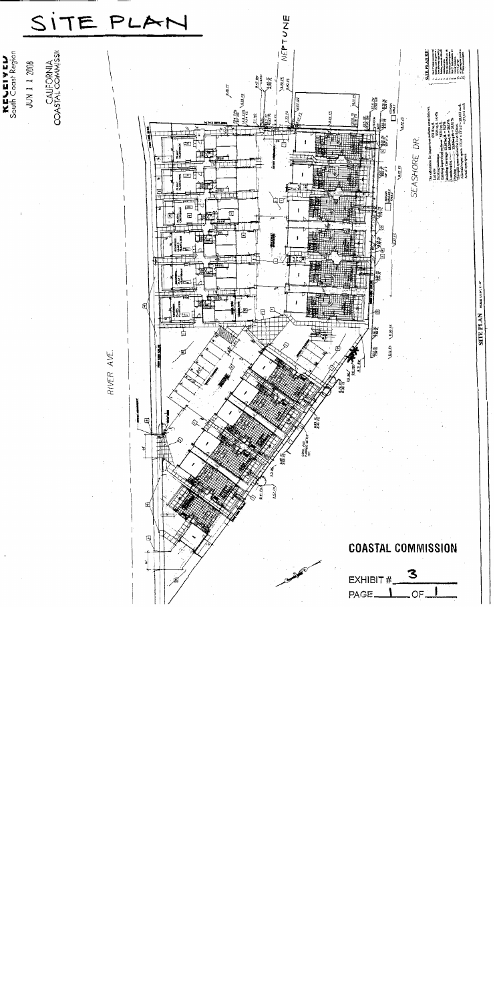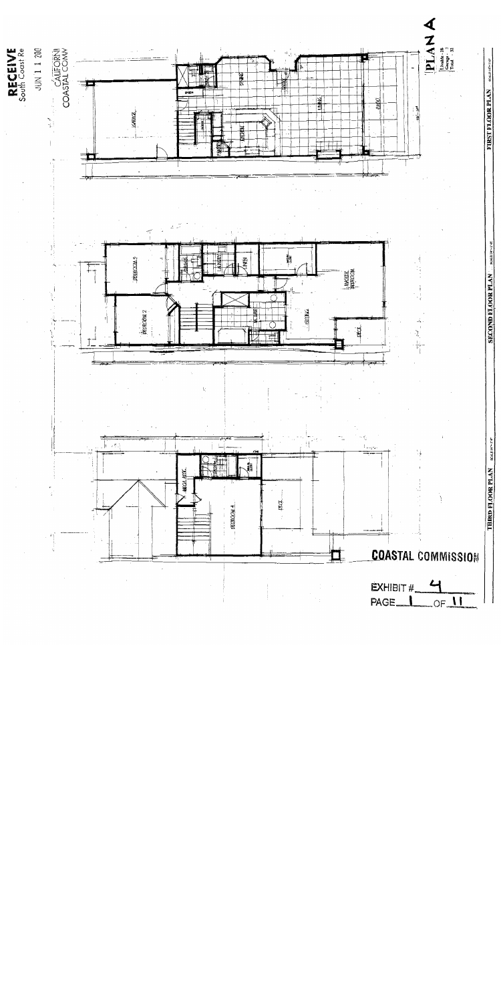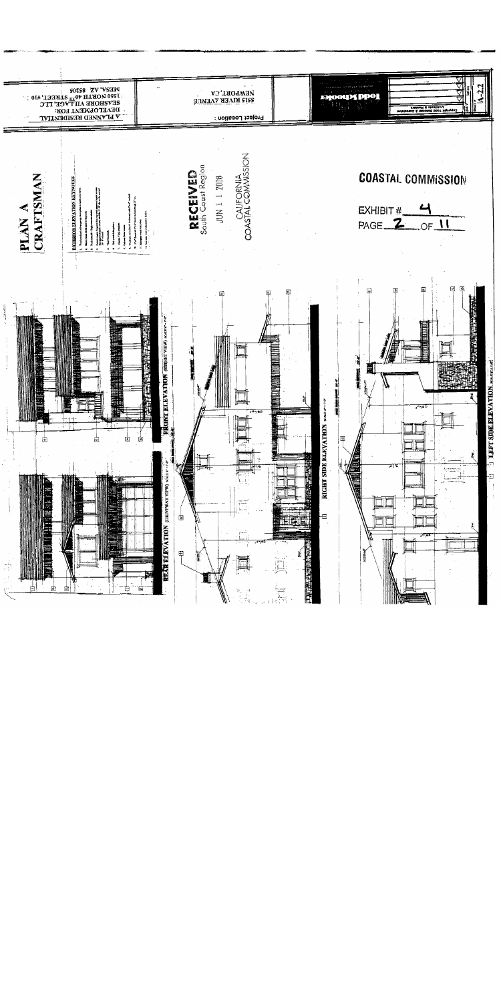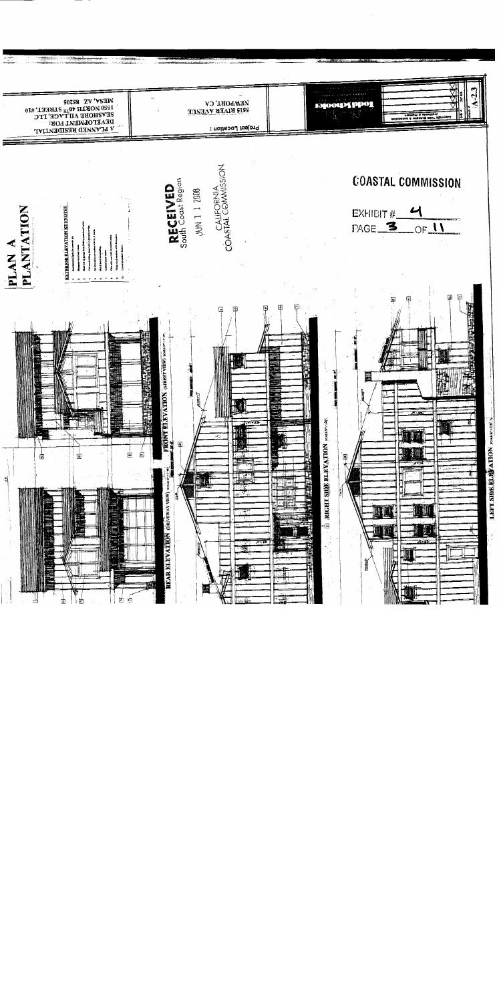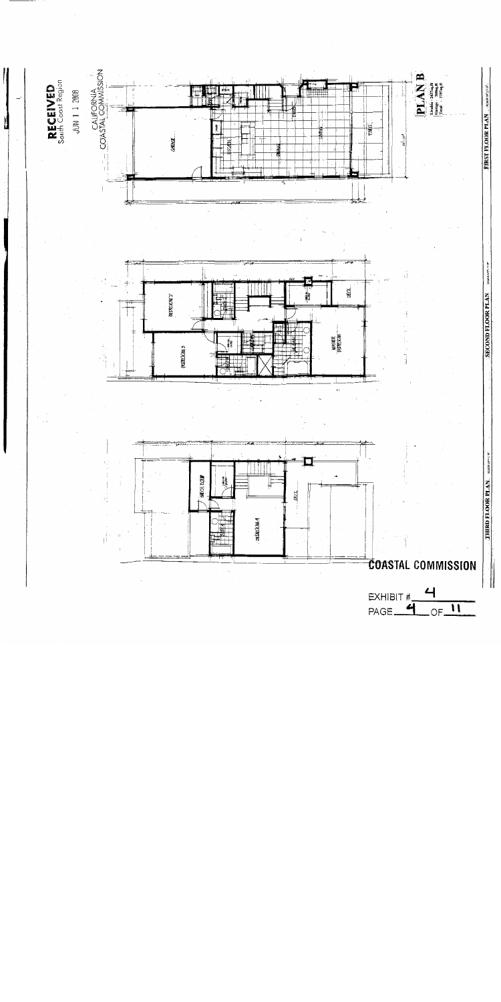

 $\frac{1}{2}$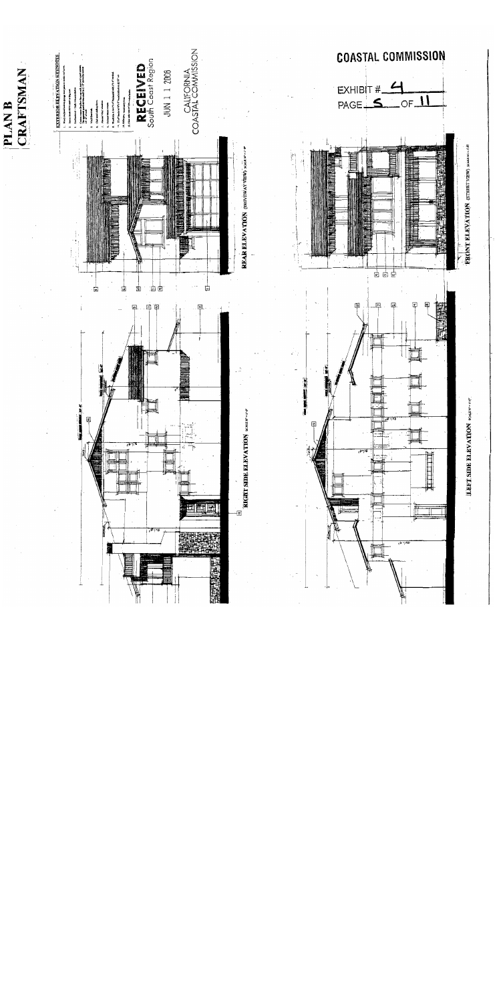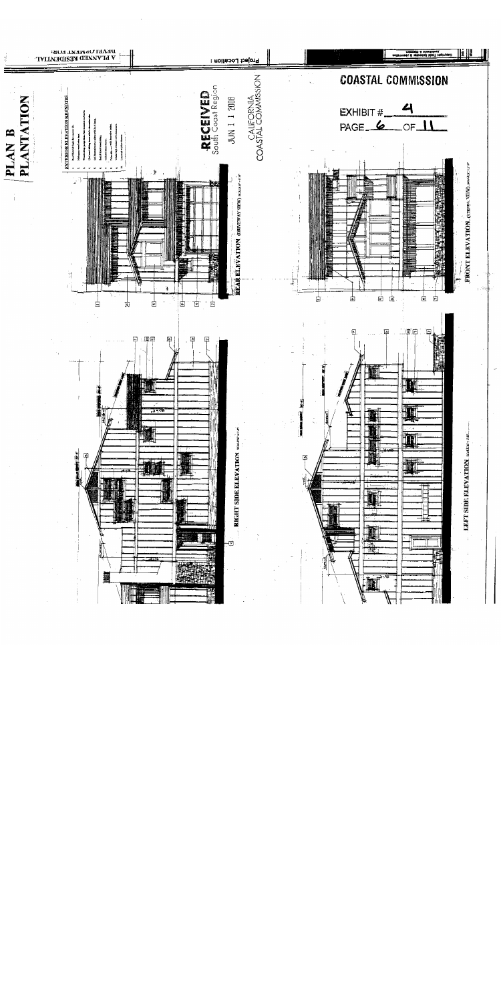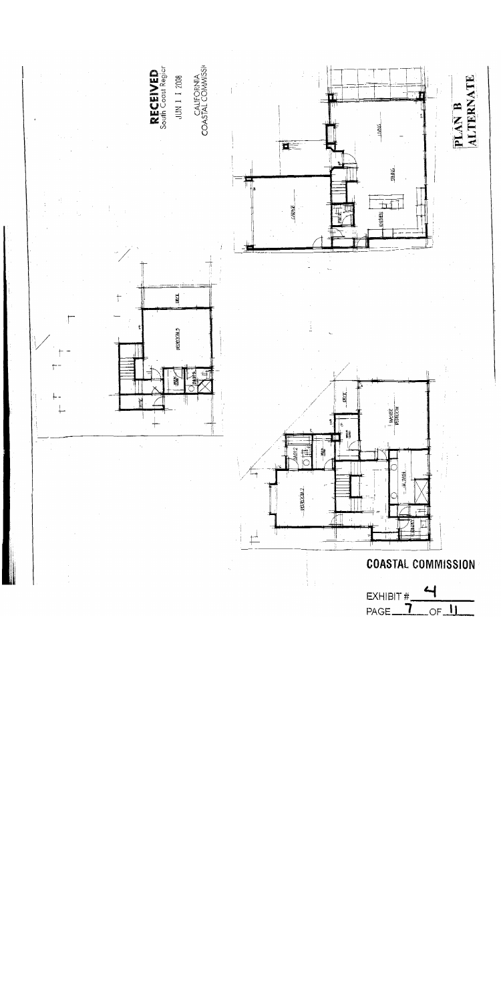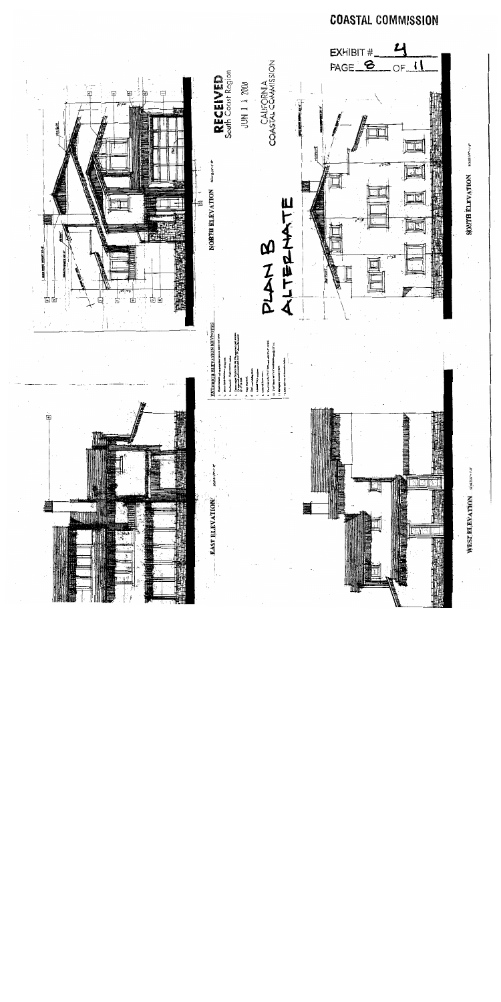# **COASTAL COMMISSION**

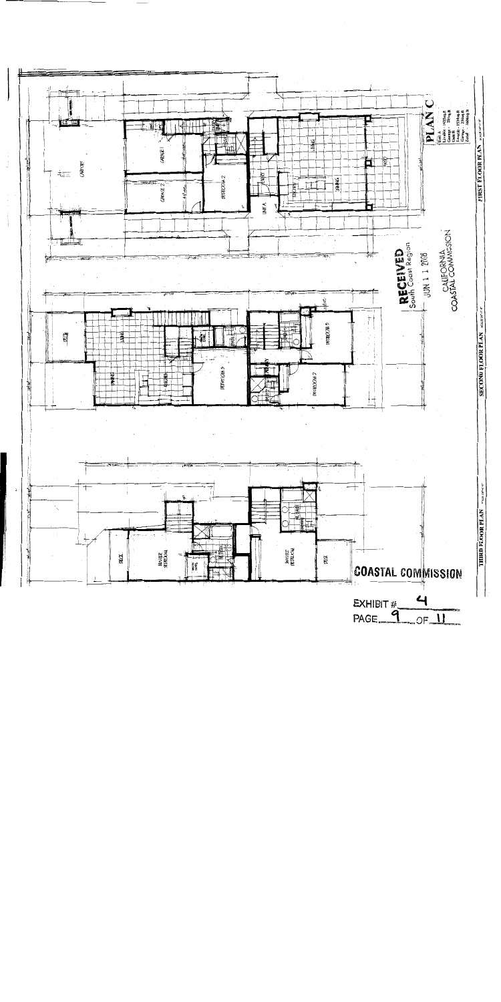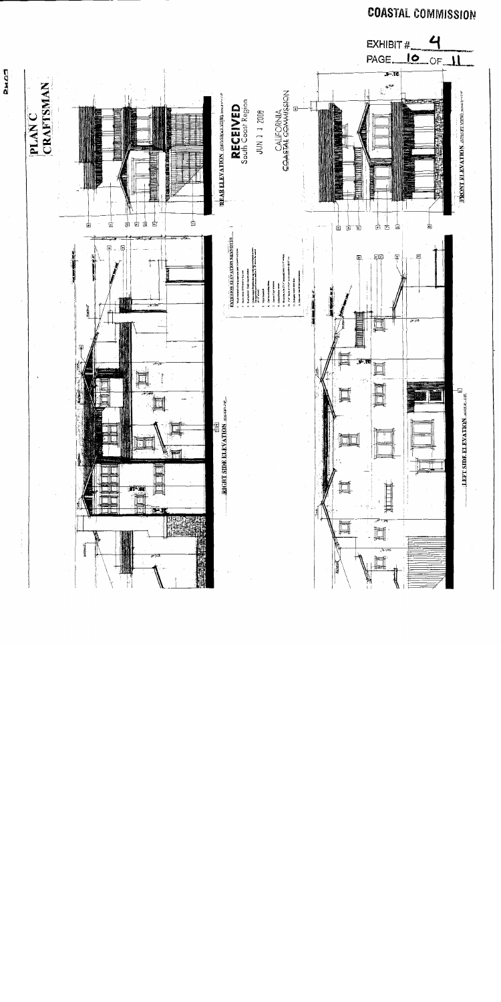

**DMOT** 

**COASTAL COMMISSION**